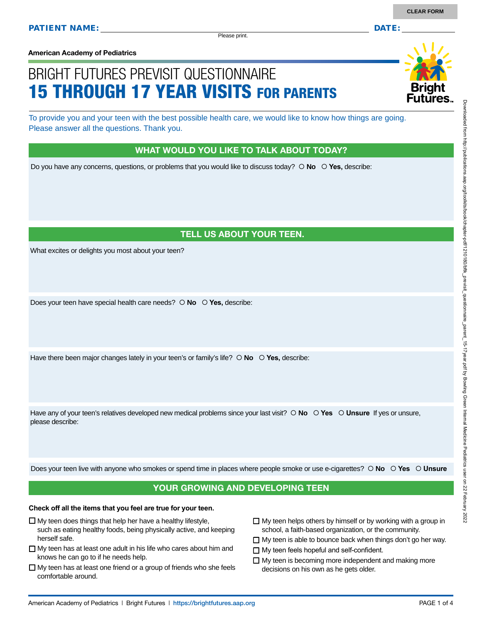Please print.

**American Academy of Pediatrics**

# BRIGHT FUTURES PREVISIT QUESTIONNAIRE 15 THROUGH 17 YEAR VISITS FOR PARENTS

To provide you and your teen with the best possible health care, we would like to know how things are going. Please answer all the questions. Thank you.

#### WHAT WOULD YOU LIKE TO TALK ABOUT TODAY?

Do you have any concerns, questions, or problems that you would like to discuss today?  $\circ$  No  $\circ$  Yes, describe:

## TELL US ABOUT YOUR TEEN.

What excites or delights you most about your teen?

Does your teen have special health care needs?  $\circ$  **No**  $\circ$  **Yes**, describe:

Have there been major changes lately in your teen's or family's life?  $\circ$  **No**  $\circ$  **Yes**, describe:

Have any of your teen's relatives developed new medical problems since your last visit?  $\circ$  **No**  $\circ$  **Yes**  $\circ$  **Unsure** If yes or unsure, please describe:

Does your teen live with anyone who smokes or spend time in places where people smoke or use e-cigarettes?  **No Yes Unsure**

### YOUR GROWING AND DEVELOPING TEEN

#### **Check off all the items that you feel are true for your teen.**

- $\square$  My teen does things that help her have a healthy lifestyle,
- such as eating healthy foods, being physically active, and keeping herself safe.
- $\Box$  My teen has at least one adult in his life who cares about him and knows he can go to if he needs help.
- $\Box$  My teen has at least one friend or a group of friends who she feels comfortable around.
- $\Box$  My teen helps others by himself or by working with a group in school, a faith-based organization, or the community.
- $\Box$  My teen is able to bounce back when things don't go her way.
- □ My teen feels hopeful and self-confident.
- $\Box$  My teen is becoming more independent and making more decisions on his own as he gets older.

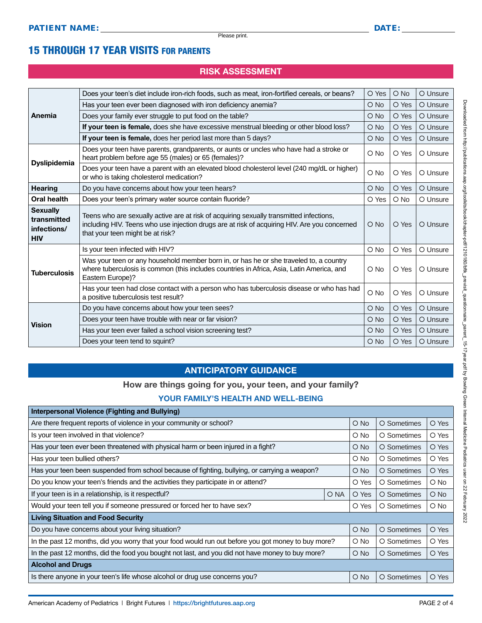## 15 THROUGH 17 YEAR VISITS FOR PARENTS

## RISK ASSESSMENT

| Anemia                                                      | Does your teen's diet include iron-rich foods, such as meat, iron-fortified cereals, or beans?                                                                                                                              | O Yes         | $O$ No | O Unsure |
|-------------------------------------------------------------|-----------------------------------------------------------------------------------------------------------------------------------------------------------------------------------------------------------------------------|---------------|--------|----------|
|                                                             | Has your teen ever been diagnosed with iron deficiency anemia?                                                                                                                                                              | $\bigcirc$ No | O Yes  | O Unsure |
|                                                             | Does your family ever struggle to put food on the table?                                                                                                                                                                    | O No          | O Yes  | O Unsure |
|                                                             | If your teen is female, does she have excessive menstrual bleeding or other blood loss?                                                                                                                                     | $\bigcirc$ No | O Yes  | O Unsure |
|                                                             | If your teen is female, does her period last more than 5 days?                                                                                                                                                              | O No          | O Yes  | O Unsure |
| <b>Dyslipidemia</b>                                         | Does your teen have parents, grandparents, or aunts or uncles who have had a stroke or<br>heart problem before age 55 (males) or 65 (females)?                                                                              | O No          | O Yes  | O Unsure |
|                                                             | Does your teen have a parent with an elevated blood cholesterol level (240 mg/dL or higher)<br>or who is taking cholesterol medication?                                                                                     | O No          | O Yes  | O Unsure |
| <b>Hearing</b>                                              | Do you have concerns about how your teen hears?                                                                                                                                                                             | $\bigcirc$ No | O Yes  | O Unsure |
| <b>Oral health</b>                                          | Does your teen's primary water source contain fluoride?                                                                                                                                                                     | O Yes         | $O$ No | O Unsure |
| <b>Sexually</b><br>transmitted<br>infections/<br><b>HIV</b> | Teens who are sexually active are at risk of acquiring sexually transmitted infections,<br>including HIV. Teens who use injection drugs are at risk of acquiring HIV. Are you concerned<br>that your teen might be at risk? | $O$ No        | O Yes  | O Unsure |
|                                                             | Is your teen infected with HIV?                                                                                                                                                                                             | O No          | O Yes  | O Unsure |
| <b>Tuberculosis</b>                                         | Was your teen or any household member born in, or has he or she traveled to, a country<br>where tuberculosis is common (this includes countries in Africa, Asia, Latin America, and<br>Eastern Europe)?                     | O No          | O Yes  | O Unsure |
|                                                             | Has your teen had close contact with a person who has tuberculosis disease or who has had<br>a positive tuberculosis test result?                                                                                           | O No          | O Yes  | O Unsure |
|                                                             | Do you have concerns about how your teen sees?                                                                                                                                                                              | O No          | O Yes  | O Unsure |
| <b>Vision</b>                                               | Does your teen have trouble with near or far vision?                                                                                                                                                                        | $\bigcirc$ No | O Yes  | O Unsure |
|                                                             | Has your teen ever failed a school vision screening test?                                                                                                                                                                   | O No          | O Yes  | O Unsure |
|                                                             | Does your teen tend to squint?                                                                                                                                                                                              | $\bigcirc$ No | O Yes  | O Unsure |
|                                                             |                                                                                                                                                                                                                             |               |        |          |

### ANTICIPATORY GUIDANCE

#### How are things going for you, your teen, and your family?

#### YOUR FAMILY'S HEALTH AND WELL-BEING

| Interpersonal Violence (Fighting and Bullying)                                                      |      |               |             |               |
|-----------------------------------------------------------------------------------------------------|------|---------------|-------------|---------------|
| Are there frequent reports of violence in your community or school?                                 |      | $\bigcirc$ No | O Sometimes | O Yes         |
| Is your teen involved in that violence?                                                             |      | $\circ$ No    | O Sometimes | O Yes         |
| Has your teen ever been threatened with physical harm or been injured in a fight?                   |      | $\bigcirc$ No | O Sometimes | O Yes         |
| Has your teen bullied others?                                                                       |      | $\circ$ No    | O Sometimes | O Yes         |
| Has your teen been suspended from school because of fighting, bullying, or carrying a weapon?       |      | $\circ$ No    | O Sometimes | O Yes         |
| Do you know your teen's friends and the activities they participate in or attend?                   |      | O Yes         | O Sometimes | $\circ$ No    |
| If your teen is in a relationship, is it respectful?                                                | O NA | O Yes         | O Sometimes | $\bigcirc$ No |
| Would your teen tell you if someone pressured or forced her to have sex?                            |      | O Yes         | O Sometimes | $\circ$ No    |
| <b>Living Situation and Food Security</b>                                                           |      |               |             |               |
| Do you have concerns about your living situation?                                                   |      | $\bigcirc$ No | O Sometimes | O Yes         |
| In the past 12 months, did you worry that your food would run out before you got money to buy more? |      | $\circ$ No    | O Sometimes | O Yes         |
| In the past 12 months, did the food you bought not last, and you did not have money to buy more?    |      | $\bigcirc$ No | O Sometimes | O Yes         |
| <b>Alcohol and Drugs</b>                                                                            |      |               |             |               |
| Is there anyone in your teen's life whose alcohol or drug use concerns you?                         |      | $\circ$ No    | O Sometimes | O Yes         |
|                                                                                                     |      |               |             |               |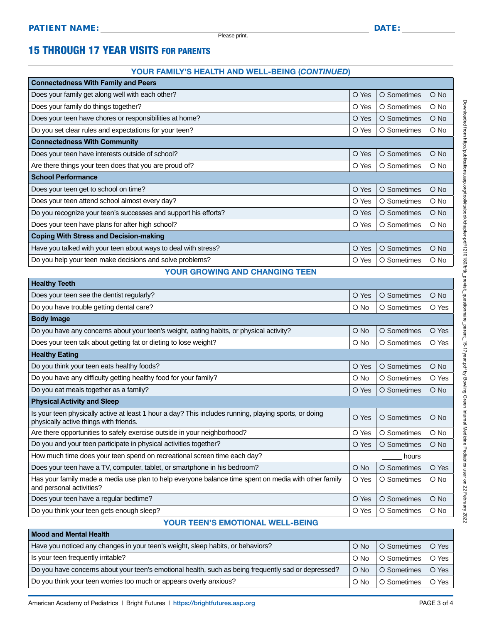**Healthy Teeth**

**Mood and Mental Health**

# 15 THROUGH 17 YEAR VISITS FOR PARENTS

#### YOUR FAMILY'S HEALTH AND WELL-BEING (*CONTINUED*)

| <b>Connectedness With Family and Peers</b>                      |       |             |            |
|-----------------------------------------------------------------|-------|-------------|------------|
| Does your family get along well with each other?                | O Yes | O Sometimes | $O$ No     |
| Does your family do things together?                            | O Yes | O Sometimes | O No       |
| Does your teen have chores or responsibilities at home?         | O Yes | O Sometimes | $O$ No     |
| Do you set clear rules and expectations for your teen?          | O Yes | O Sometimes | $\circ$ No |
| <b>Connectedness With Community</b>                             |       |             |            |
| Does your teen have interests outside of school?                | O Yes | O Sometimes | $O$ No     |
| Are there things your teen does that you are proud of?          | O Yes | O Sometimes | $\circ$ No |
| <b>School Performance</b>                                       |       |             |            |
| Does your teen get to school on time?                           | O Yes | O Sometimes | O No       |
| Does your teen attend school almost every day?                  | O Yes | O Sometimes | $\circ$ No |
| Do you recognize your teen's successes and support his efforts? | O Yes | O Sometimes | O No       |
| Does your teen have plans for after high school?                | O Yes | O Sometimes | $\circ$ No |
| <b>Coping With Stress and Decision-making</b>                   |       |             |            |
| Have you talked with your teen about ways to deal with stress?  | O Yes | O Sometimes | O No       |
| Do you help your teen make decisions and solve problems?        | O Yes | O Sometimes | O No       |
|                                                                 |       |             |            |

#### YOUR GROWING AND CHANGING TEEN

| <b>Health</b> regul                                                                                                                             |               |             |               |
|-------------------------------------------------------------------------------------------------------------------------------------------------|---------------|-------------|---------------|
| Does your teen see the dentist regularly?                                                                                                       | O Yes         | O Sometimes | $\bigcirc$ No |
| Do you have trouble getting dental care?                                                                                                        | O No          | O Sometimes | O Yes         |
| <b>Body Image</b>                                                                                                                               |               |             |               |
| Do you have any concerns about your teen's weight, eating habits, or physical activity?                                                         | $\bigcirc$ No | O Sometimes | O Yes         |
| Does your teen talk about getting fat or dieting to lose weight?                                                                                | O No          | O Sometimes | O Yes         |
| <b>Healthy Eating</b>                                                                                                                           |               |             |               |
| Do you think your teen eats healthy foods?                                                                                                      | O Yes         | O Sometimes | $O$ No        |
| Do you have any difficulty getting healthy food for your family?                                                                                | O No          | O Sometimes | O Yes         |
| Do you eat meals together as a family?                                                                                                          | O Yes         | O Sometimes | O No          |
| <b>Physical Activity and Sleep</b>                                                                                                              |               |             |               |
| Is your teen physically active at least 1 hour a day? This includes running, playing sports, or doing<br>physically active things with friends. | O Yes         | O Sometimes | $O$ No        |
| Are there opportunities to safely exercise outside in your neighborhood?                                                                        | O Yes         | O Sometimes | O No          |
| Do you and your teen participate in physical activities together?                                                                               | O Yes         | O Sometimes | $\bigcirc$ No |
| How much time does your teen spend on recreational screen time each day?                                                                        | hours         |             |               |
| Does your teen have a TV, computer, tablet, or smartphone in his bedroom?                                                                       | O No          | O Sometimes | O Yes         |
| Has your family made a media use plan to help everyone balance time spent on media with other family<br>and personal activities?                | O Yes         | O Sometimes | $O$ No        |
| Does your teen have a regular bedtime?                                                                                                          | O Yes         | O Sometimes | $\bigcirc$ No |
| Do you think your teen gets enough sleep?                                                                                                       | O Yes         | O Sometimes | $\circ$ No    |
|                                                                                                                                                 |               |             |               |

#### YOUR TEEN'S EMOTIONAL WELL-BEING

| Mood and Mental Health                                                                              |               |                     |       |  |
|-----------------------------------------------------------------------------------------------------|---------------|---------------------|-------|--|
| Have you noticed any changes in your teen's weight, sleep habits, or behaviors?                     | $O$ No        | O Sometimes   O Yes |       |  |
| Is your teen frequently irritable?                                                                  | $\bigcirc$ No | O Sometimes         | O Yes |  |
| Do you have concerns about your teen's emotional health, such as being frequently sad or depressed? | $O$ No        | <b>O</b> Sometimes  | O Yes |  |
| Do you think your teen worries too much or appears overly anxious?                                  | $\circ$ No    | O Sometimes   O Yes |       |  |